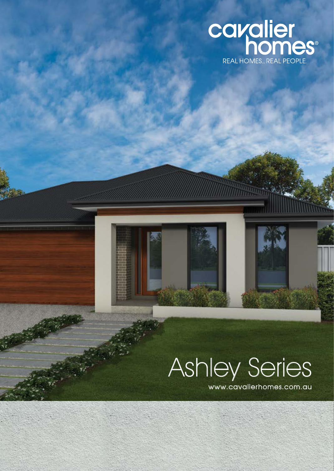

# Ashley Series

www.cavalierhomes.com.au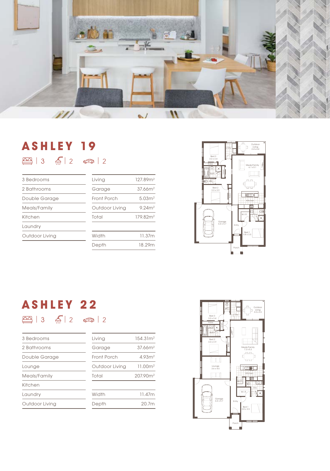

## **ASHLEY 19**  $\boxed{2}$  | 3  $\boxed{2}$  | 2  $\boxed{3}$  | 2

| 3 Bedrooms     | Living         | 127.89m <sup>2</sup> |
|----------------|----------------|----------------------|
| 2 Bathrooms    | Garage         | 37.66m <sup>2</sup>  |
| Double Garage  | Front Porch    | 5.03 <sup>2</sup>    |
| Meals/Family   | Outdoor Living | 9.24m <sup>2</sup>   |
| Kitchen        | Total          | 179.82m <sup>2</sup> |
| Laundry        |                |                      |
| Outdoor Living | Width          | 11.37m               |
|                | Depth          | 18.29m               |



## **ASHLEY 22**  $\boxed{2}$  | 3  $\boxed{6}$  | 2  $\boxed{6}$  | 2

| 3 Bedrooms     | Living         | 154.31 <sup>2</sup>  |
|----------------|----------------|----------------------|
| 2 Bathrooms    | Garage         | 37.66m <sup>2</sup>  |
| Double Garage  | Front Porch    | 4.93 <sup>2</sup>    |
| Lounge         | Outdoor Living | 11,00m <sup>2</sup>  |
| Meals/Family   | Total          | 207.90m <sup>2</sup> |
| Kitchen        |                |                      |
| Laundry        | Width          | 11.47m               |
| Outdoor Living | Depth          | 20.7m                |
|                |                |                      |

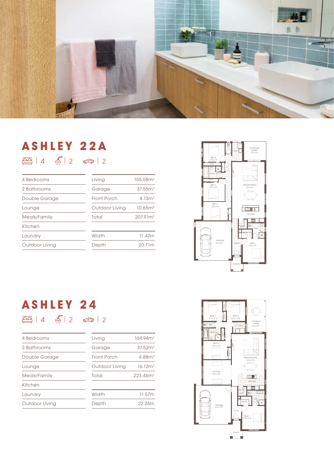

#### **ASHLEY 22A**  $\boxed{24}$  | 4  $\boxed{4}$  | 2  $\boxed{3}$  | 2

| 4 Bedrooms     | Living         | 155.58m <sup>2</sup> |
|----------------|----------------|----------------------|
| 2 Bathrooms    | Garage         | 37.55 <sup>2</sup>   |
| Double Garage  | Front Porch    | 4.13 <sup>m²</sup>   |
| Lounge         | Outdoor Living | 10.65m <sup>2</sup>  |
| Meals/Family   | Total          | 207.91m <sup>2</sup> |
| Kitchen        |                |                      |
| Laundry        | Width          | 11.47m               |
| Outdoor Living | Depth          | 20.71m               |
|                |                |                      |



## **ASHLEY 24**  $\boxed{2}$  | 4  $\boxed{4}$  | 2  $\boxed{3}$  | 2

| 4 Bedrooms     | Living         | 164.94m <sup>2</sup> |
|----------------|----------------|----------------------|
| 2 Bathrooms    | Garage         | 37.52 <sup>2</sup>   |
| Double Garage  | Front Porch    | 4.88 <sup>2</sup>    |
| Lounge         | Outdoor Living | 16.12 <sup>m²</sup>  |
| Meals/Family   | Total          | 223.46 <sup>2</sup>  |
| Kitchen        |                |                      |
| Laundry        | Width          | 11.57m               |
| Outdoor Living | Depth          | 22.26m               |

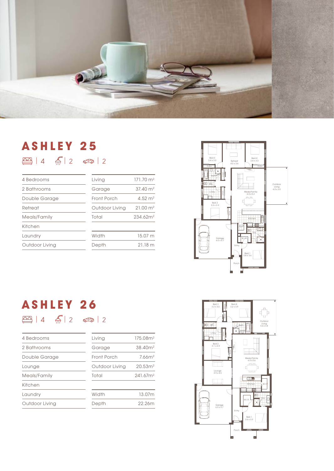

## **ASHLEY 25**  $\boxed{29}$  | 4  $\boxed{4}$  | 2  $\boxed{6}$  | 2

| Living         | $171.70 \text{ m}^2$ |
|----------------|----------------------|
| Garage         | $37.40 \text{ m}^2$  |
| Front Porch    | 4.52 $m2$            |
| Outdoor Living | $21.00 \text{ m}^2$  |
| Total          | 234.62 <sup>2</sup>  |
|                |                      |
| Width          | 15.07 m              |
| Depth          | 21.18 m              |
|                |                      |



## **ASHLEY 26**  $\boxed{2}$  | 4  $\boxed{6}$  | 2  $\boxed{3}$  | 2

| 4 Bedrooms     | Living         | 175.08m <sup>2</sup> |
|----------------|----------------|----------------------|
| 2 Bathrooms    | Garage         | 38.40 <sup>2</sup>   |
| Double Garage  | Front Porch    | 7.66m <sup>2</sup>   |
| Lounge         | Outdoor Living | 20.53 <sup>2</sup>   |
| Meals/Family   | Total          | 241.67 <sup>2</sup>  |
| Kitchen        |                |                      |
| Laundrv        | Width          | 13.07m               |
| Outdoor Living | Depth          | 22.26m               |

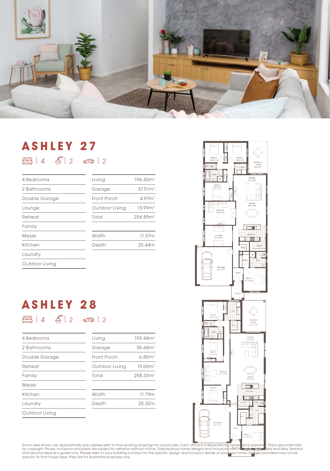

## **ASHLEY 27**  $\boxed{23}$  | 4  $\boxed{4}$  | 2  $\boxed{3}$  | 2

| 4 Bedrooms     | Living         | 196.42m <sup>2</sup> |
|----------------|----------------|----------------------|
| 2 Bathrooms    | Garage         | 37.51 <sup>2</sup>   |
| Double Garage  | Front Porch    | 4.97 <sup>2</sup>    |
| Lounge         | Outdoor Living | 15.99m <sup>2</sup>  |
| Retreat        | Total          | 254.89m <sup>2</sup> |
| Family         |                |                      |
| Meals          | Width          | 11.57m               |
| Kitchen        | Depth          | 25.44m               |
| Laundry        |                |                      |
| Outdoor Living |                |                      |

## **ASHLEY 28**  $\boxed{2}$  | 4  $\boxed{6}$  | 2  $\boxed{3}$  | 2

| 4 Bedrooms     | Living         | 193.44m <sup>2</sup> |
|----------------|----------------|----------------------|
| 2 Bathrooms    | Garage         | 38.44m <sup>2</sup>  |
| Double Garage  | Front Porch    | 6.85m <sup>2</sup>   |
| Retreat        | Outdoor Living | 19.60m <sup>2</sup>  |
| Family         | Total          | 258.33 <sup>2</sup>  |
| Meals          |                |                      |
| Kitchen        | Width          | 11.79m               |
| Laundry        | Depth          | 25.32m               |
| Outdoor Living |                |                      |



Room sizes shown are approximate only, please refer to final working drawings for actual sizes. Each office is independently owned and operate 1. Plans are protected<br>by copyright. Prices, inclusions and plans are subject t